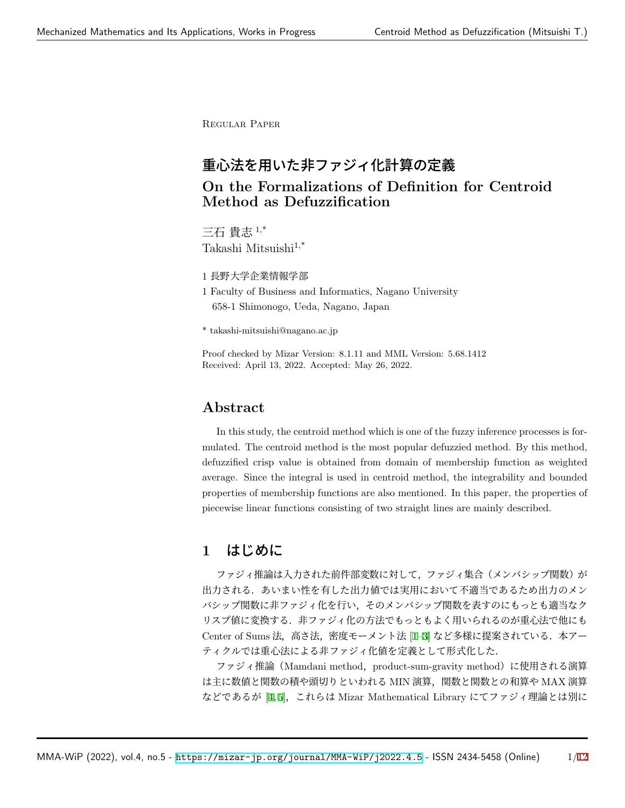Regular Paper

# 重心法を用いた非ファジィ化計算の定義

## **On the Formalizations of Definition for Centroid Method as Defuzzification**

三石 貴志 1,\* Takashi Mitsuishi1,\*

1 長野大学企業情報学部

1 Faculty of Business and Informatics, Nagano University 658-1 Shimonogo, Ueda, Nagano, Japan

\* takashi-mitsuishi@nagano.ac.jp

Proof checked by Mizar Version: 8.1.11 and MML Version: 5.68.1412 Received: April 13, 2022. Accepted: May 26, 2022.

### **Abstract**

In this study, the centroid method which is one of the fuzzy inference processes is formulated. The centroid method is the most popular defuzzied method. By this method, defuzzified crisp value is obtained from domain of membership function as weighted average. Since the integral is used in centroid method, the integrability and bounded properties of membership functions are also mentioned. In this paper, the properties of piecewise linear functions consisting of two straight lines are mainly described.

# **1** はじめに

ファジィ推論は入力された前件部変数に対して、ファジィ集合(メンバシップ関数)が 出力される.あいまい性を有した出力値では実用において不適当であるため出力のメン バシップ関数に非ファジィ化を行い,そのメンバシップ関数を表すのにもっとも適当なク リスプ値に変換する.非ファジィ化の方法でもっともよく用いられるのが重心法で他にも Center of Sums 法,高さ法,密度モーメント法 [\[1](#page-4-0)-3] など多様に提案されている. 本アー ティクルでは重心法による非ファジィ化値を定義として形式化した.

ファジィ推論 (Mamdani method, product-sum-gravity method) に使用される演算 は主に数値と関数の積や頭切りといわれる MIN 演算,関数と関数との和算や MAX 演算 などであるが [\[4,](#page-5-0)[5](#page-5-1)], これらは Mizar Mathematical Library にてファジィ理論とは別に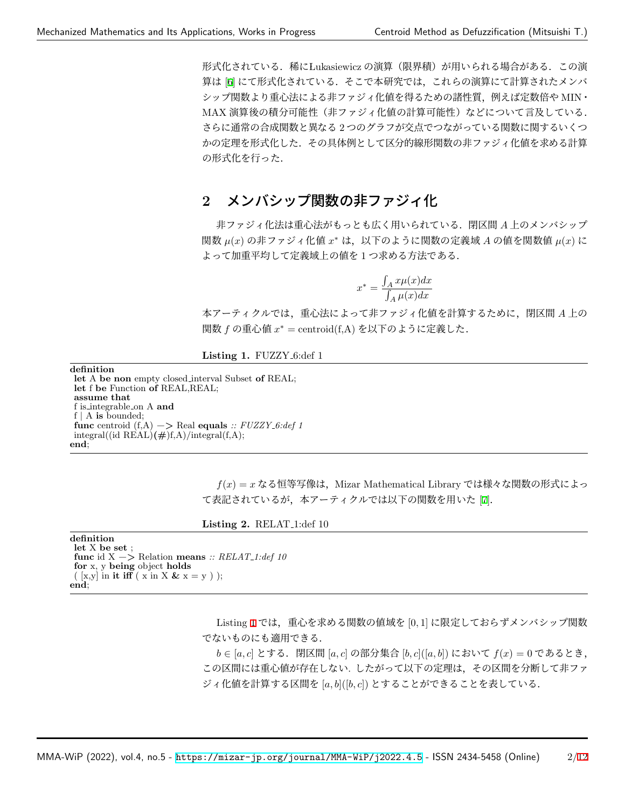形式化されている. 稀に Lukasiewicz の演算(限界積)が用いられる場合がある. この演 算は [\[6](#page-5-2)] にて形式化されている.そこで本研究では,これらの演算にて計算されたメンバ シップ関数より重心法による非ファジィ化値を得るための諸性質,例えば定数倍や MIN・ MAX 演算後の積分可能性(非ファジィ化値の計算可能性)などについて言及している. さらに通常の合成関数と異なる 2 つのグラフが交点でつながっている関数に関するいくつ かの定理を形式化した.その具体例として区分的線形関数の非ファジィ化値を求める計算 の形式化を行った.

# **2** メンバシップ関数の非ファジィ化

非ファジィ化法は重心法がもっとも広く用いられている.閉区間 *A* 上のメンバシップ 関数 *µ*(*x*) の非ファジィ化値 *x <sup>∗</sup>* は,以下のように関数の定義域 *A* の値を関数値 *µ*(*x*) に よって加重平均して定義域上の値を 1 つ求める方法である.

$$
x^* = \frac{\int_A x \mu(x) dx}{\int_A \mu(x) dx}
$$

本アーティクルでは,重心法によって非ファジィ化値を計算するために,閉区間 *A* 上の 関数 *f* の重心値 *x <sup>∗</sup>* = centroid(f,A) を以下のように定義した.

<span id="page-1-0"></span>Listing 1. FUZZY<sub>-6:def</sub> 1

**definition**

**let** A **be non** empty closed interval Subset **of** REAL; **let** f **be** Function **of** REAL,REAL; **assume that** f is integrable on A **and**  $f | A$  is bounded; **func** centroid  $(f, A)$   $\rightarrow$  Real **equals**  $\therefore$  *FUZZY\_6:def 1* integral((id REAL) $(\#)f,A$ )/integral(f,A); **end**;

> *f*(*x*) = *x* なる恒等写像は,Mizar Mathematical Library では様々な関数の形式によっ て表記されているが、本アーティクルでは以下の関数を用いた [[7](#page-5-3)].

**Listing 2.** RELAT<sub>-1</sub>:def 10

| definition                                                           |
|----------------------------------------------------------------------|
| let X be set:                                                        |
| func id $X \rightarrow \mathbb{R}$ Relation means :: $RELAT_1:def10$ |
| for x, y being object holds                                          |
| $(\lceil x,y \rceil)$ in it iff $(x \in X \& x = y)$ ;               |
| end:                                                                 |

Listing [1](#page-1-0) では,重心を求める関数の値域を [0*,* 1] に限定しておらずメンバシップ関数 でないものにも適用できる.

*b ∈* [*a, c*] とする.閉区間 [*a, c*] の部分集合 [*b, c*]([*a, b*]) において *f*(*x*) = 0 であるとき, この区間には重心値が存在しない. したがって以下の定理は,その区間を分断して非ファ ジィ化値を計算する区間を [*a, b*]([*b, c*]) とすることができることを表している.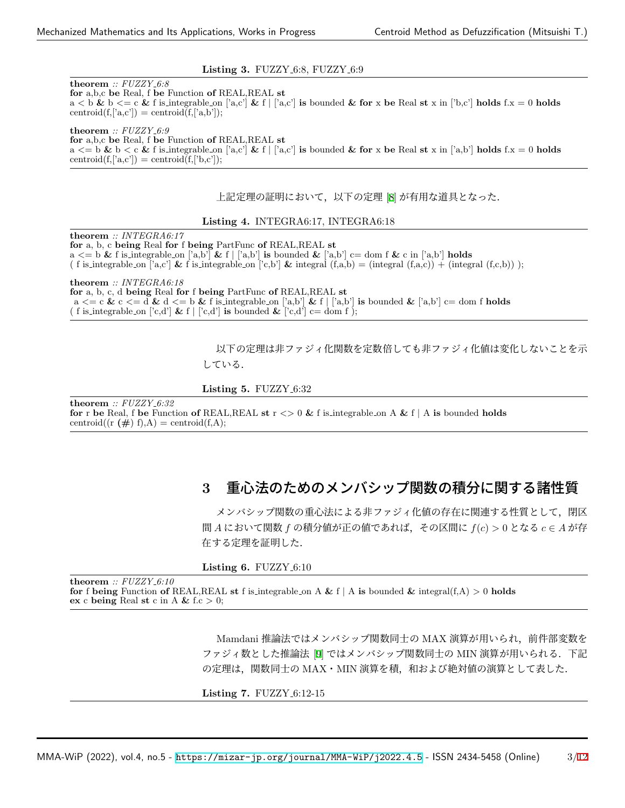### **Listing 3.** FUZZY<sub>-6:8</sub>, FUZZY<sub>-6:9</sub>

**theorem** *:: FUZZY 6:8* **for** a,b,c **be** Real, f **be** Function **of** REAL,REAL **st**  $a < b \& b \leq c \& f$  is integrable on ['a,c']  $\& f | [a, c']$  is bounded  $\& f$  for x be Real st x in ['b,c'] holds f.x = 0 holds centroid $(f,[a,c'])$  = centroid $(f,[a,b'])$ ;

**theorem** *:: FUZZY 6:9* **for** a,b,c **be** Real, f **be** Function **of** REAL,REAL **st**  $a \leq b \leq c \&$  f is integrable on ['a,c']  $\&$  f  $|$  ['a,c'] is bounded  $\&$  for x be Real st x in ['a,b'] holds f.x = 0 holds centroid $(f,[a,c'])$  = centroid $(f,[b,c'])$ ;

上記定理の証明において,以下の定理 [\[8](#page-5-4)] が有用な道具となった.

### **Listing 4.** INTEGRA6:17, INTEGRA6:18

**theorem** *:: INTEGRA6:17* **for** a, b, c **being** Real **for** f **being** PartFunc **of** REAL,REAL **st**  $a \leq b \&$  f is integrable on ['a,b']  $\&$  f  $|$ 'a,b'] is bounded  $\&$  ['a,b'] c= dom f  $\&$  c in ['a,b'] **holds** ( f is integrable on ['a,c'] & f is integrable on ['c,b'] & integral  $(f, a,b) = (integral (f, a,c)) + (integral (f,c,b))$  ;

**theorem** *:: INTEGRA6:18* **for** a, b, c, d **being** Real **for** f **being** PartFunc **of** REAL,REAL **st**  $a \leq c \leq d$  **&**  $c \leq d$  **&**  $d \leq b$  **&** f is integrable on ['a,b'] **&** f  $\left[ \begin{array}{c} [a,b] \end{array} \right]$  is bounded **&** ['a,b']  $c =$  dom f **holds** ( f is\_integrable\_on ['c,d'] & f  $|$  ['c,d'] is bounded & ['c,d'] c= dom f );

> 以下の定理は非ファジィ化関数を定数倍しても非ファジィ化値は変化しないことを示 している.

**Listing 5. FUZZY\_6:32** 

**theorem** *:: FUZZY 6:32* **for** r **be** Real, f **be** Function **of** REAL, REAL **st**  $r \leq 0$  & f is integrable on A & f | A **is** bounded **holds** centroid( $(r (\#) f)$ ,A) = centroid( $f$ ,A);

# **3** 重心法のためのメンバシップ関数の積分に関する諸性質

メンバシップ関数の重心法による非ファジィ化値の存在に関連する性質として,閉区 <sup>間</sup> *A* において関数 *f* の積分値が正の値であれば,その区間に *f*(*c*) *>* 0 となる *c ∈ A* が存 在する定理を証明した.

**Listing 6. FUZZY\_6:10** 

**theorem** *:: FUZZY 6:10* **for** f **being** Function **of** REAL,REAL **st** f is integrable on A & f | A **is** bounded & integral(f,A)  $>0$  **holds ex** c **being** Real **st** c in A **&** f.c *>* 0;

> Mamdani 推論法ではメンバシップ関数同士の MAX 演算が用いられ、前件部変数を ファジィ数とした推論法 [[9\]](#page-5-5) ではメンバシップ関数同士の MIN 演算が用いられる.下記 の定理は、関数同士の MAX・MIN 演算を積、和および絶対値の演算として表した.

**Listing 7.** FUZZY<sub>-6:12-15</sub>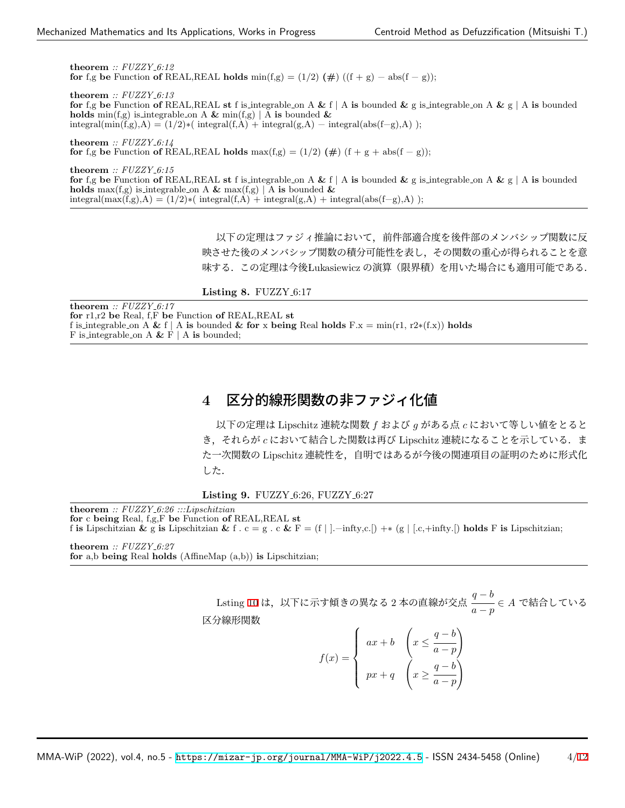**theorem** *:: FUZZY 6:12* **for** f,g **be** Function **of** REAL,REAL **holds** min(f,g) =  $(1/2)$  ( $\#$ ) ((f + g) – abs(f – g));

**theorem** *:: FUZZY 6:13* **for** f,g **be** Function **of** REAL,REAL **st** f is integrable on A **&** f *|* A **is** bounded **&** g is integrable on A **&** g *|* A **is** bounded **holds** min(f,g) is integrable on A & min(f,g) | A **is** bounded & integral(min(f,g),A) = (1/2)∗( integral(f,A) + integral(g,A) – integral(abs(f–g),A) );

**theorem** *:: FUZZY 6:14* **for** f,g **be** Function **of** REAL,REAL **holds** max $(f,g) = (1/2) (\#)(f + g + abs(f - g))$ ;

**theorem** *:: FUZZY 6:15* **for** f,g **be** Function **of** REAL,REAL **st** f is integrable on A **&** f *|* A **is** bounded **&** g is integrable on A **&** g *|* A **is** bounded **holds** max(f,g) is integrable on A & max(f,g) | A **is** bounded & integral(max(f,g),A) = (1/2)\*( integral(f,A) + integral(g,A) + integral(abs(f-g),A) );

> 以下の定理はファジィ推論において,前件部適合度を後件部のメンバシップ関数に反 映させた後のメンバシップ関数の積分可能性を表し,その関数の重心が得られることを意 味する.この定理は今後 Lukasiewicz の演算(限界積)を用いた場合にも適用可能である.

**Listing 8. FUZZY\_6:17** 

**theorem** *:: FUZZY 6:17* **for** r1,r2 **be** Real, f,F **be** Function **of** REAL,REAL **st** f is integrable on A & f | A is bounded & for x being Real holds  $F.x = min(r1, r2*(f.x))$  holds F is integrable on A **&** F *|* A **is** bounded;

# **4** 区分的線形関数の非ファジィ化値

以下の定理は Lipschitz 連続な関数 *f* および *g* がある点 *c* において等しい値をとると き,それらが *c* において結合した関数は再び Lipschitz 連続になることを示している.ま た一次関数の Lipschitz 連続性を,自明ではあるが今後の関連項目の証明のために形式化 した.

**Listing 9.** FUZZY<sub>-6:26</sub>, FUZZY<sub>-6:27</sub>

**theorem** *:: FUZZY 6:26 :::Lipschitzian* **for** c **being** Real, f,g,F **be** Function **of** REAL,REAL **st** f **is** Lipschitzian **&** g **is** Lipschitzian **&** f . c = g . c **&** F = (f *|* ].−infty,c.[) +∗ (g *|* [.c,+infty.[) **holds** F **is** Lipschitzian;

**theorem** *:: FUZZY 6:27* **for** a,b **being** Real **holds** (AffineMap (a,b)) **is** Lipschitzian;

> Lsting [10](#page-4-2) は,以下に示す傾きの異なる 2 本の直線が交点 *q − b a − p ∈ A* で結合している

区分線形関数

$$
f(x) = \begin{cases} ax + b & \left(x \le \frac{q-b}{a-p}\right) \\ px + q & \left(x \ge \frac{q-b}{a-p}\right) \end{cases}
$$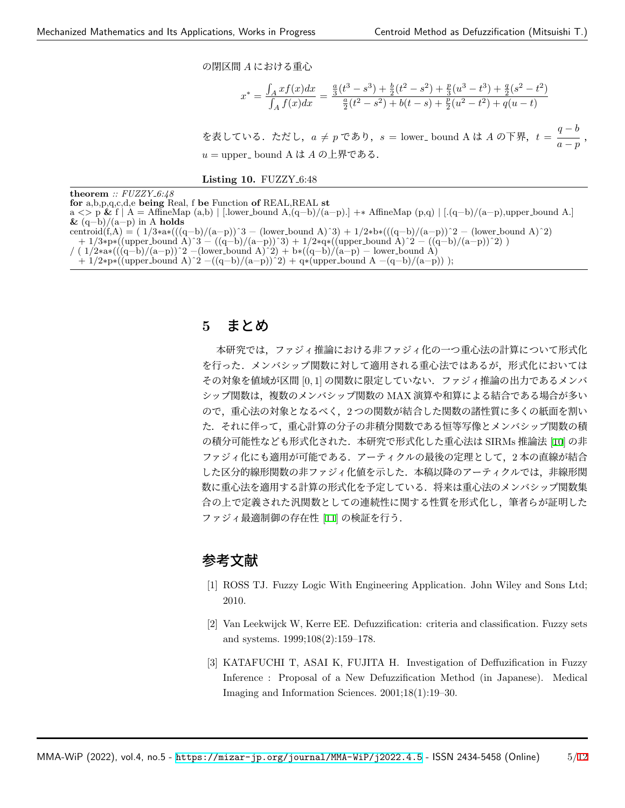の閉区間 *A* における重心

$$
x^* = \frac{\int_A x f(x) dx}{\int_A f(x) dx} = \frac{\frac{a}{3}(t^3 - s^3) + \frac{b}{2}(t^2 - s^2) + \frac{p}{3}(u^3 - t^3) + \frac{q}{2}(s^2 - t^2)}{\frac{a}{2}(t^2 - s^2) + b(t - s) + \frac{p}{2}(u^2 - t^2) + q(u - t)}
$$

を表している.ただし, $a \neq p$  であり, $s =$  lower\_bound A は *A* の下界, $t = \frac{q-b}{q-p}$  $\frac{1}{a-p}$ , *u* = upper\_ bound A は A の上界である.

<span id="page-4-2"></span>**Listing 10. FUZZY\_6:48** 

**theorem** *:: FUZZY 6:48* **for** a,b,p,q,c,d,e **being** Real, f **be** Function **of** REAL,REAL **st** a *<>* p **&** f *|* A = AffineMap (a,b) *|* [.lower bound A,(q−b)/(a−p).] +∗ AffineMap (p,q) *|* [.(q−b)/(a−p),upper bound A.] **&** (q−b)/(a−p) in A **holds** centroid(f,A) = ( 1/3∗a∗(((q−b)/(a−p))^3 − (lower\_bound A)^3) + 1/2∗b∗(((q−b)/(a−p))^2 − (lower\_bound A)^2) + 1/3∗p∗((upper bound A)ˆ3 − ((q−b)/(a−p))ˆ3) + 1/2∗q∗((upper bound A)ˆ2 − ((q−b)/(a−p))ˆ2) )  $\frac{1}{2}$  ( 1/2\*a\*(((q–b)/(a−p))<sup>^2</sup> –(lower\_bound A)<sup>^2</sup>) + b\*((q–b)/(a−p) – lower\_bound A)  $+ 1/2$ ∗p∗((upper\_bound A)<sup>^2</sup> –((q–b)/(a–p))<sup>^2</sup>) + q∗(upper\_bound A –(q–b)/(a–p)) );

### **5** まとめ

本研究では,ファジィ推論における非ファジィ化の一つ重心法の計算について形式化 を行った.メンバシップ関数に対して適用される重心法ではあるが,形式化においては その対象を値域が区間 [0*,* 1] の関数に限定していない.ファジィ推論の出力であるメンバ シップ関数は,複数のメンバシップ関数の MAX 演算や和算による結合である場合が多い ので,重心法の対象となるべく,2 つの関数が結合した関数の諸性質に多くの紙面を割い た.それに伴って,重心計算の分子の非積分関数である恒等写像とメンバシップ関数の積 の積分可能性なども形式化された.本研究で形式化した重心法は SIRMs 推論法 [[10\]](#page-5-6) の非 ファジィ化にも適用が可能である.アーティクルの最後の定理として,2 本の直線が結合 した区分的線形関数の非ファジィ化値を示した.本稿以降のアーティクルでは,非線形関 数に重心法を適用する計算の形式化を予定している.将来は重心法のメンバシップ関数集 合の上で定義された汎関数としての連続性に関する性質を形式化し,筆者らが証明した ファジィ最適制御の存在性 [\[11](#page-5-7)] の検証を行う.

## 参考文献

- <span id="page-4-0"></span>[1] ROSS TJ. Fuzzy Logic With Engineering Application. John Wiley and Sons Ltd; 2010.
- [2] Van Leekwijck W, Kerre EE. Defuzzification: criteria and classification. Fuzzy sets and systems. 1999;108(2):159–178.
- <span id="page-4-1"></span>[3] KATAFUCHI T, ASAI K, FUJITA H. Investigation of Deffuzification in Fuzzy Inference : Proposal of a New Defuzzification Method (in Japanese). Medical Imaging and Information Sciences. 2001;18(1):19–30.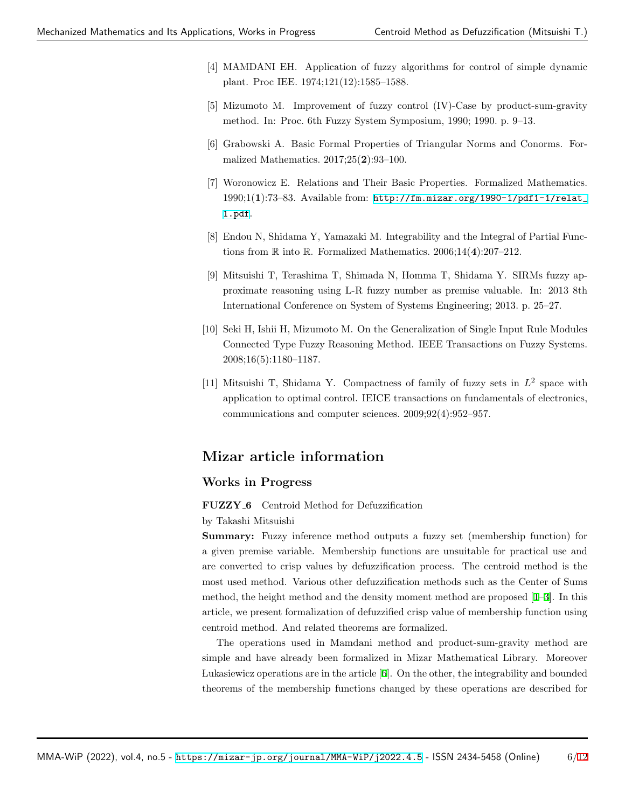- <span id="page-5-0"></span>[4] MAMDANI EH. Application of fuzzy algorithms for control of simple dynamic plant. Proc IEE. 1974;121(12):1585–1588.
- <span id="page-5-1"></span>[5] Mizumoto M. Improvement of fuzzy control (IV)-Case by product-sum-gravity method. In: Proc. 6th Fuzzy System Symposium, 1990; 1990. p. 9–13.
- <span id="page-5-2"></span>[6] Grabowski A. Basic Formal Properties of Triangular Norms and Conorms. Formalized Mathematics. 2017;25(**2**):93–100.
- <span id="page-5-3"></span>[7] Woronowicz E. Relations and Their Basic Properties. Formalized Mathematics. 1990;1(**1**):73–83. Available from: [http://fm.mizar.org/1990-1/pdf1-1/relat\\_](http://fm.mizar.org/1990-1/pdf1-1/relat_1.pdf) [1.pdf](http://fm.mizar.org/1990-1/pdf1-1/relat_1.pdf).
- <span id="page-5-4"></span>[8] Endou N, Shidama Y, Yamazaki M. Integrability and the Integral of Partial Functions from R into R. Formalized Mathematics. 2006;14(**4**):207–212.
- <span id="page-5-5"></span>[9] Mitsuishi T, Terashima T, Shimada N, Homma T, Shidama Y. SIRMs fuzzy approximate reasoning using L-R fuzzy number as premise valuable. In: 2013 8th International Conference on System of Systems Engineering; 2013. p. 25–27.
- <span id="page-5-6"></span>[10] Seki H, Ishii H, Mizumoto M. On the Generalization of Single Input Rule Modules Connected Type Fuzzy Reasoning Method. IEEE Transactions on Fuzzy Systems. 2008;16(5):1180–1187.
- <span id="page-5-7"></span>[11] Mitsuishi T, Shidama Y. Compactness of family of fuzzy sets in *L* 2 space with application to optimal control. IEICE transactions on fundamentals of electronics, communications and computer sciences. 2009;92(4):952–957.

### **Mizar article information**

### **Works in Progress**

### **FUZZY 6** Centroid Method for Defuzzification

### by Takashi Mitsuishi

**Summary:** Fuzzy inference method outputs a fuzzy set (membership function) for a given premise variable. Membership functions are unsuitable for practical use and are converted to crisp values by defuzzification process. The centroid method is the most used method. Various other defuzzification methods such as the Center of Sums method, the height method and the density moment method are proposed [[1](#page-4-0)[–3](#page-4-1)]. In this article, we present formalization of defuzzified crisp value of membership function using centroid method. And related theorems are formalized.

The operations used in Mamdani method and product-sum-gravity method are simple and have already been formalized in Mizar Mathematical Library. Moreover Lukasiewicz operations are in the article [[6](#page-5-2)]. On the other, the integrability and bounded theorems of the membership functions changed by these operations are described for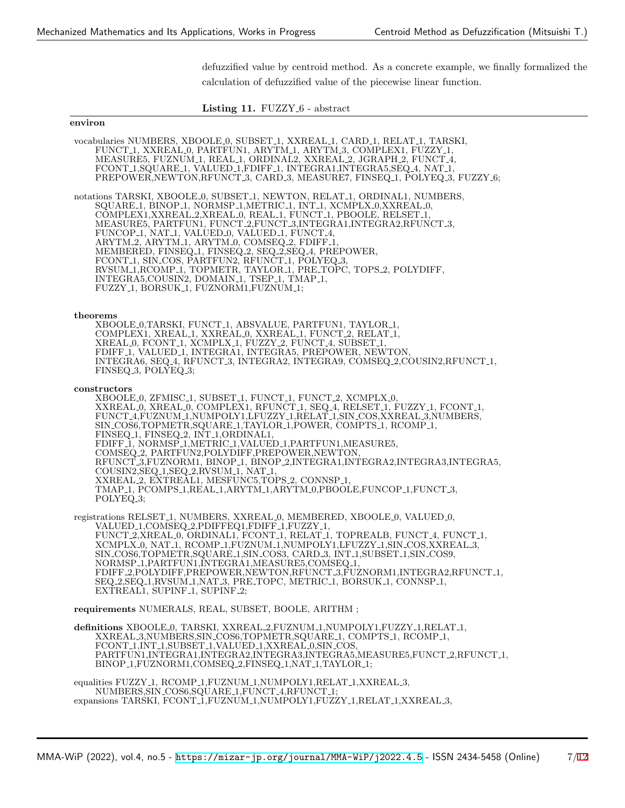defuzzified value by centroid method. As a concrete example, we finally formalized the calculation of defuzzified value of the piecewise linear function.

Listing 11. FUZZY<sub>-6</sub> - abstract

#### **environ**

vocabularies NUMBERS, XBOOLE 0, SUBSET 1, XXREAL 1, CARD 1, RELAT 1, TARSKI, FUNCT 1, XXREAL 0, PARTFUN1, ARYTM 1, ARYTM 3, COMPLEX1, FUZZY 1, MEASURE5, FUZNUM 1, REAL 1, ORDINAL2, XXREAL 2, JGRAPH 2, FUNCT 4, FCONT 1,SQUARE 1, VALUED 1,FDIFF 1, INTEGRA1,INTEGRA5,SEQ 4, NAT 1, PREPOWER, NEWTON, RFUNCT 3, CARD 3, MEASURE7, FINSEQ 1, POLYEQ 3, FUZZY 6; notations TARSKI, XBOOLE 0, SUBSET 1, NEWTON, RELAT 1, ORDINAL1, NUMBERS, SQUARE 1, BINOP 1, NORMSP 1,METRIC 1, INT 1, XCMPLX 0,XXREAL 0, COMPLEX1,XXREAL 2,XREAL 0, REAL 1, FUNCT 1, PBOOLE, RELSET 1, MEASURE5, PARTFUN1, FUNCT 2,FUNCT 3,INTEGRA1,INTEGRA2,RFUNCT 3, FUNCOP 1, NAT 1, VALUED 0, VALUED 1, FUNCT 4, ARYTM 2, ARYTM 1, ARYTM 0, COMSEQ 2, FDIFF 1, MEMBERED, FINSEQ 1, FINSEQ 2, SEQ 2,SEQ 4, PREPOWER, FCONT 1, SIN COS, PARTFUN2, RFUNCT 1, POLYEQ 3, RVSUM 1,RCOMP 1, TOPMETR, TAYLOR 1, PRE TOPC, TOPS 2, POLYDIFF, INTEGRA5,COUSIN2, DOMAIN 1, TSEP 1, TMAP 1, FUZZY 1, BORSUK 1, FUZNORM1,FUZNUM 1; **theorems** XBOOLE 0,TARSKI, FUNCT 1, ABSVALUE, PARTFUN1, TAYLOR 1, COMPLEX1, XREAL 1, XXREAL 0, XXREAL 1, FUNCT 2, RELAT 1, XREAL 0, FCONT 1, XCMPLX 1, FUZZY 2, FUNCT 4, SUBSET 1, FDIFF<sub>-1</sub>, VALUED<sub>-1</sub>, INTEGRA1, INTEGRA5, PREPOWER, NEWTON, INTEGRA6, SEQ 4, RFUNCT 3, INTEGRA2, INTEGRA9, COMSEQ 2,COUSIN2,RFUNCT 1, FINSEQ<sub>-3</sub>, POLYEQ<sub>-3</sub>; **constructors** XBOOLE<sub>-0</sub>, ZFMISC<sub>-1</sub>, SUBSET<sub>-1</sub>, FUNCT<sub>-1</sub>, FUNCT<sub>-2</sub>, XCMPLX<sub>-0</sub>, XXREAL 0, XREAL 0, COMPLEX1, RFUNCT 1, SEQ 4, RELSET 1, FUZZY 1, FCONT 1, FUNCT 4,FUZNUM 1,NUMPOLY1,LFUZZY 1,RELAT 1,SIN COS,XXREAL 3,NUMBERS, SIN COS6,TOPMETR,SQUARE 1,TAYLOR 1,POWER, COMPTS 1, RCOMP 1, FINSEQ 1, FINSEQ 2, INT 1,ORDINAL1, FDIFF 1, NORMSP 1,METRIC 1,VALUED 1,PARTFUN1,MEASURE5, COMSEQ 2, PARTFUN2,POLYDIFF,PREPOWER,NEWTON, RFUNCT 3,FUZNORM1, BINOP 1, BINOP 2,INTEGRA1,INTEGRA2,INTEGRA3,INTEGRA5, COUSIN2, SEQ 1, SEQ 2, RVSUM 1, NAT 1, XXREAL 2, EXTREAL1, MESFUNC5,TOPS 2, CONNSP 1, TMAP 1, PCOMPS 1,REAL 1,ARYTM 1,ARYTM 0,PBOOLE,FUNCOP 1,FUNCT 3, POLYEQ<sub>-3</sub>; registrations RELSET 1, NUMBERS, XXREAL 0, MEMBERED, XBOOLE 0, VALUED 0, VALUED 1,COMSEQ 2,PDIFFEQ1,FDIFF 1,FUZZY 1, FUNCT 2,XREAL 0, ORDINAL1, FCONT 1, RELAT 1, TOPREALB, FUNCT 4, FUNCT 1, XCMPLX.0, NAT.1, RCOMP\_1,FUZNUM\_1,NUMPOLY1,LFUZZY\_1,SIN\_COS,XXREAL\_3, SIN COS6,TOPMETR,SQUARE 1,SIN COS3, CARD 3, INT 1,SUBSET 1,SIN COS9, NORMSP 1,PARTFUN1,INTEGRA1,MEASURE5,COMSEQ 1, FDIFF 2,POLYDIFF,PREPOWER,NEWTON,RFUNCT 3,FUZNORM1,INTEGRA2,RFUNCT 1, SEQ 2,SEQ 1,RVSUM 1,NAT 3, PRE TOPC, METRIC 1, BORSUK 1, CONNSP 1, EXTREAL1, SUPINF<sub>-1</sub>, SUPINF<sub>-2</sub>; **requirements** NUMERALS, REAL, SUBSET, BOOLE, ARITHM ; **definitions** XBOOLE 0, TARSKI, XXREAL 2,FUZNUM 1,NUMPOLY1,FUZZY 1,RELAT 1, XXREAL 3,NUMBERS,SIN COS6,TOPMETR,SQUARE 1, COMPTS 1, RCOMP 1, FCONT 1,INT 1,SUBSET 1,VALUED 1,XXREAL 0,SIN COS, PARTFUŃ1,INTEGRA1,INTEGRA2,INTEGRA3,INTEGRA5,MEASURE5,FUNCT\_2,RFUNCT\_1, BINOP<sub>-1</sub>,FÚZNORM1,COMSEQ<sub>-2</sub>,FINSEQ<sub>-1</sub>,NAT<sub>-1</sub>,TAYLOR<sub>-1</sub>; equalities FUZZY<sub>-1</sub>, RCOMP<sub>-1</sub>, FUZNUM<sub>-1</sub>, NUMPOLY<sub>1</sub>, RELAT<sub>-1</sub>, XXREAL<sub>-3</sub>, NUMBERS,SIN COS6,SQUARE 1,FUNCT 4,RFUNCT 1;

expansions TARSKI, FCONT\_1,FUZNUM\_1,NUMPOLY1,FUZZY\_1,RELAT\_1,XXREAL\_3,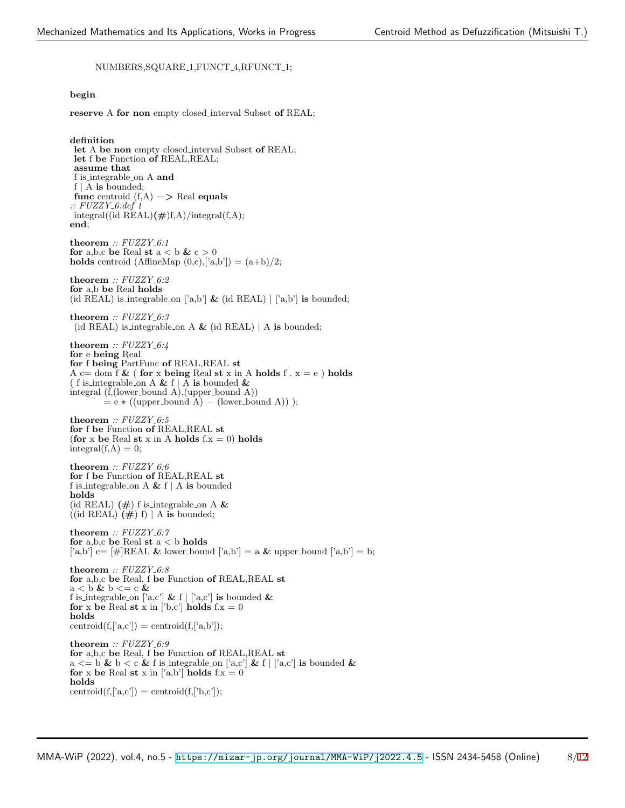### NUMBERS,SQUARE 1,FUNCT 4,RFUNCT 1;

### **begin**

**reserve** A **for non** empty closed interval Subset **of** REAL;

**definition let** A **be non** empty closed interval Subset **of** REAL; **let** f **be** Function **of** REAL,REAL; **assume that** f is integrable on A **and** f *|* A **is** bounded; **func** centroid (f,A) −*>* Real **equals** *:: FUZZY 6:def 1*  $integral((id REAL)(#)f,A)/integral(f,A);$ **end**; **theorem** *:: FUZZY 6:1* **for** a,b,c **be** Real **st**  $a < b$  &  $c > 0$ **holds** centroid (AffineMap  $(0,c),$ ['a,b']) =  $(a+b)/2$ ; **theorem** *:: FUZZY 6:2* **for** a,b **be** Real **holds** (id REAL) is integrable on ['a,b'] **&** (id REAL) *|* ['a,b'] **is** bounded; **theorem** *:: FUZZY 6:3* (id REAL) is integrable on A **&** (id REAL) *|* A **is** bounded; **theorem** *:: FUZZY 6:4* **for** e **being** Real **for** f **being** PartFunc **of** REAL,REAL **st** A c= dom f  $\&$  ( for x being Real st x in A holds f  $\cdot$  x = e ) holds ( f is integrable on A **&** f *|* A **is** bounded **&** integral  $(f, (lower-bound A), (upper-bound A))$  $=$ e  $\ast$ ((upper\_bound A) – (lower\_bound A)) ); **theorem** *:: FUZZY 6:5* **for** f **be** Function **of** REAL,REAL **st** (**for** x be Real st x in A holds  $f.x = 0$ ) holds  $integral(f,A) = 0;$  $\tt theorem$  <br> ::  $FUZZY_{-}6:6$ **for** f **be** Function **of** REAL,REAL **st** f is integrable on A **&** f *|* A **is** bounded **holds** (id REAL) **(#**) f is integrable on A **&**  $((id REAL) (\#) f) | A$  is bounded; **theorem** *:: FUZZY 6:7* **for** a,b,c **be** Real **st** a *<* b **holds**  $[\n 'a,b']$  c=  $[\#]$ REAL & lower bound  $[\n 'a,b'] = a \& \text{ upper-bound } [\n 'a,b'] = b;$ **theorem** *:: FUZZY 6:8* **for** a,b,c **be** Real, f **be** Function **of** REAL,REAL **st**  $a < b \& b \leq c \& c$ f is integrable on  $[^{a}a,c']$  &  $f | [a,c']$  is bounded & for x be Real st x in  $['b,c']$  holds  $f.x = 0$ **holds** centroid $(f,[a,c'])$  = centroid $(f,[a,b'])$ ;  $\tt theorem: FUZZY_6:9$ 

**for** a,b,c **be** Real, f **be** Function **of** REAL,REAL **st** a  $\langle \mathbf{a} \rangle = \mathbf{b} \mathbf{\&} \mathbf{b} \rangle \langle \mathbf{c} \mathbf{\&} \mathbf{f} \mathbf{c} \rangle$  is bounded  $\mathbf{\&}$ **for** x be Real st x in ['a,b'] **holds**  $f.x = 0$ **holds** centroid $(f,[a,c'])$  = centroid $(f,[b,c'])$ ;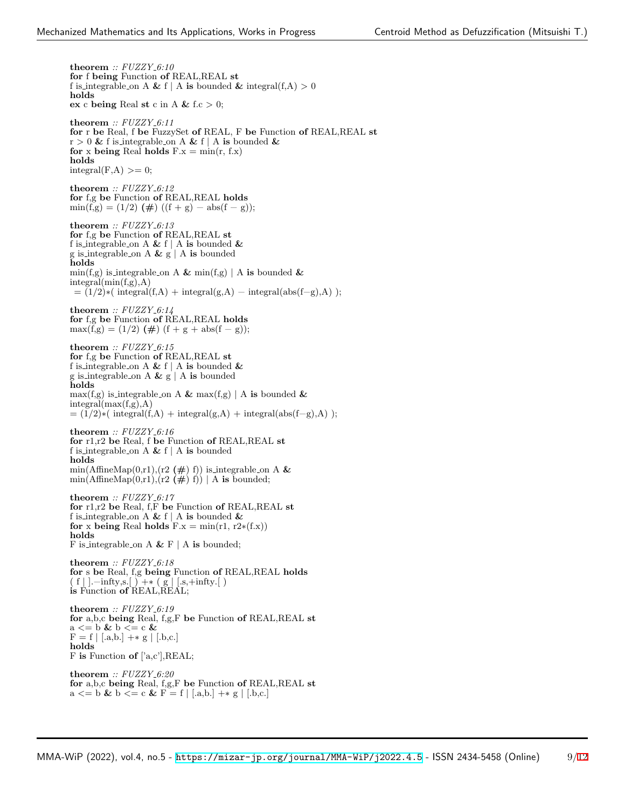**theorem** *:: FUZZY 6:10* **for** f **being** Function **of** REAL,REAL **st** f is integrable on A & f | A is bounded & integral(f,A)  $> 0$ **holds ex** c **being** Real **st** c in A **&** f.c *>* 0; **theorem** *:: FUZZY 6:11* **for** r **be** Real, f **be** FuzzySet **of** REAL, F **be** Function **of** REAL,REAL **st**  $r > 0$  & f is integrable on A & f | A is bounded & **for** x **being** Real **holds**  $F.x = min(r, f.x)$ **holds**  $integral(F,A) >= 0;$ **theorem** *:: FUZZY 6:12* **for** f,g **be** Function **of** REAL,REAL **holds**  $\min(f,g) = (1/2) (\#) ((f + g) - abs(f - g));$ **theorem** *:: FUZZY 6:13* **for** f,g **be** Function **of** REAL,REAL **st** f is integrable on A **&** f *|* A **is** bounded **&** g is integrable on A **&** g *|* A **is** bounded **holds**  $\min(f,g)$  is integrable on A &  $\min(f,g)$  | A is bounded &  $integral(min(f,g),A)$  $= (1/2)$ ∗( integral(f,A) + integral(g,A) – integral(abs(f–g),A) ); **theorem** *:: FUZZY 6:14* **for** f,g **be** Function **of** REAL,REAL **holds**  $max(f,g) = (1/2) (\#) (f + g + abs(f - g));$ **theorem** *:: FUZZY 6:15* **for** f,g **be** Function **of** REAL,REAL **st** f is integrable on A **&** f *|* A **is** bounded **&** g is integrable on A **&** g *|* A **is** bounded **holds**  $max(f,g)$  is integrable on A &  $max(f,g)$  | A is bounded & integral(max(f,g),A)  $= (1/2) * (integral(f, A) + integral(g, A) + integral(abs(f-g), A));$ **theorem** *:: FUZZY 6:16* **for** r1,r2 **be** Real, f **be** Function **of** REAL,REAL **st** f is integrable on A **&** f *|* A **is** bounded **holds**  $min(AffineMap(0,r1),(r2 (\#) f))$  is integrable on A &  $\min(\text{AffineMap}(0,r1), (r2 \neq \#) f)) | A$  is bounded; **theorem** *:: FUZZY 6:17* **for** r1,r2 **be** Real, f,F **be** Function **of** REAL,REAL **st** f is integrable on A **&** f *|* A **is** bounded **& for** x **being** Real **holds**  $F.x = min(r1, r2*(f.x))$ **holds** F is integrable on A **&** F *|* A **is** bounded; **theorem** *:: FUZZY 6:18* **for** s **be** Real, f,g **being** Function **of** REAL,REAL **holds** ( f *|* ].−infty,s.[ ) +∗ ( g *|* [.s,+infty.[ ) **is** Function **of** REAL,REAL; **theorem** *:: FUZZY 6:19* **for** a,b,c **being** Real, f,g,F **be** Function **of** REAL,REAL **st** a *<*= b **&** b *<*= c **&**  $F=f \mid$   $\left[ .a,b. \right] \text{ } +\ast$  g  $\mid$   $\left[ .b,c. \right]$ **holds** F **is** Function **of** ['a,c'],REAL; **theorem** *:: FUZZY 6:20* **for** a,b,c **being** Real, f,g,F **be** Function **of** REAL,REAL **st** a *<*= b **&** b *<*= c **&** F = f *|* [.a,b.] +∗ g *|* [.b,c.]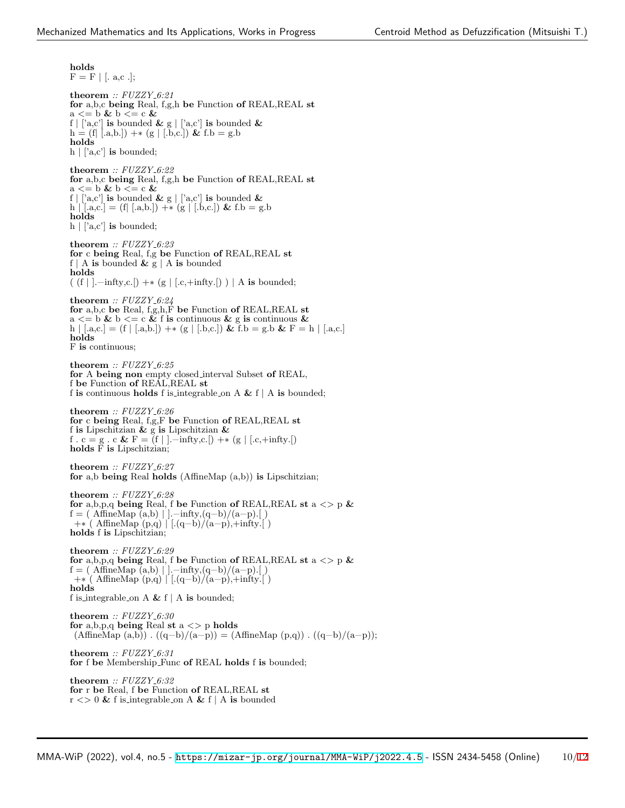**holds**  $F = F |$  [. a,c .]; **theorem** *:: FUZZY 6:21* **for** a,b,c **being** Real, f,g,h **be** Function **of** REAL,REAL **st** a *<*= b **&** b *<*= c **&** f  $|$  ['a,c'] **is** bounded & g  $|$  ['a,c'] **is** bounded & h = (f*|* [.a,b.]) +∗ (g *|* [.b,c.]) **&** f.b = g.b **holds**  $h \mid$  ['a,c'] **is** bounded; **theorem** *:: FUZZY 6:22* **for** a,b,c **being** Real, f,g,h **be** Function **of** REAL,REAL **st** a *<*= b **&** b *<*= c **&** f  $|$  ['a,c'] **is** bounded & g  $|$  ['a,c'] **is** bounded & h *|* [.a,c.] = (f*|* [.a,b.]) +∗ (g *|* [.b,c.]) **&** f.b = g.b **holds**  $h \mid [a, c']$  is bounded; **theorem** *:: FUZZY 6:23* **for** c **being** Real, f,g **be** Function **of** REAL,REAL **st** f | A **is** bounded  $\&$  g | A **is** bounded **holds** ( (f *|* ].−infty,c.[) +∗ (g *|* [.c,+infty.[) ) *|* A **is** bounded; **theorem** *:: FUZZY 6:24* **for** a,b,c **be** Real, f,g,h,F **be** Function **of** REAL,REAL **st** a  $\lt$  = b & b  $\lt$  = c & f **is** continuous & g **is** continuous & h *|* [.a,c.] = (f *|* [.a,b.]) +∗ (g *|* [.b,c.]) **&** f.b = g.b **&** F = h *|* [.a,c.] **holds** F **is** continuous; **theorem** *:: FUZZY 6:25* **for** A **being non** empty closed interval Subset **of** REAL, f **be** Function **of** REAL,REAL **st** f **is** continuous **holds** f is integrable on A **&** f *|* A **is** bounded; **theorem** *:: FUZZY 6:26* **for** c **being** Real, f,g,F **be** Function **of** REAL,REAL **st** f **is** Lipschitzian **&** g **is** Lipschitzian **&** f . c = g . c **&** F = (f *|* ].−infty,c.[) +∗ (g *|* [.c,+infty.[) **holds** F **is** Lipschitzian; **theorem** *:: FUZZY 6:27* **for** a,b **being** Real **holds** (AffineMap (a,b)) **is** Lipschitzian; **theorem** *:: FUZZY 6:28* **for** a,b,p,q **being** Real, f **be** Function **of** REAL,REAL **st** a *<>* p **&**  $f = (AffineMap(a,b) | |-infty,(q-b)/(a-p).[ )$ +∗ ( AffineMap (p,q) *|* [.(q−b)/(a−p),+infty.[ ) **holds** f **is** Lipschitzian; **theorem** *:: FUZZY 6:29* **for** a,b,p,q **being** Real, f **be** Function **of** REAL,REAL **st** a *<>* p **&**  $f = (AffineMap(a,b) | |-infty,(q-b)/(a-p).[ )$ +∗ ( AffineMap (p,q) *|* [.(q−b)/(a−p),+infty.[ ) **holds** f is integrable on A **&** f *|* A **is** bounded; **theorem** *:: FUZZY 6:30* **for** a,b,p,q **being** Real **st** a *<>* p **holds** (AffineMap  $(a,b)$ ) .  $((q−b)/(a-p)) = (AffineMap (p,q))$  .  $((q−b)/(a-p));$ **theorem** *:: FUZZY 6:31* **for** f **be** Membership Func **of** REAL **holds** f **is** bounded; **theorem** *:: FUZZY 6:32* **for** r **be** Real, f **be** Function **of** REAL,REAL **st**  $r \leq 0$  & f is integrable on A & f | A is bounded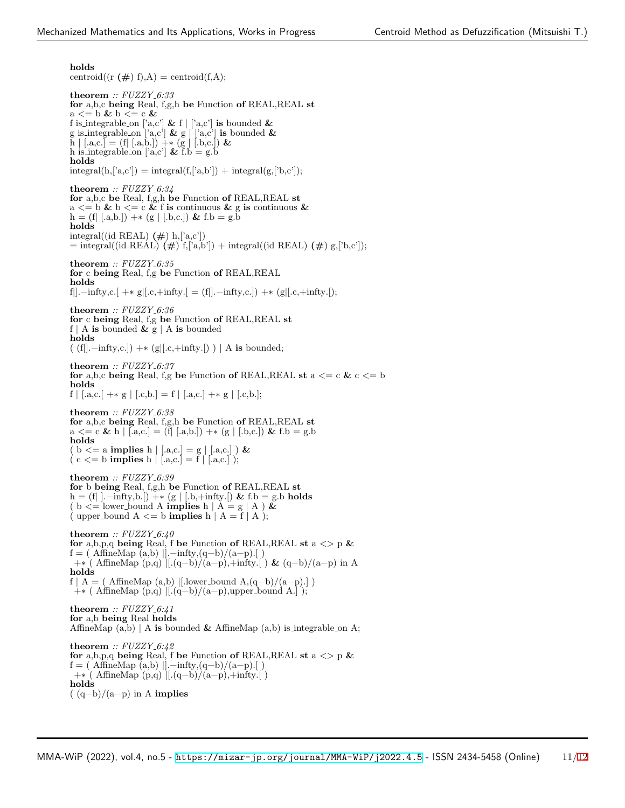**holds**

centroid( $(r (\#) f)$ ,A) = centroid( $f$ ,A); **theorem** *:: FUZZY 6:33* **for** a,b,c **being** Real, f,g,h **be** Function **of** REAL,REAL **st** a *<*= b **&** b *<*= c **&** f is integrable on  $[a, c']$  & f  $| [a, c']$  is bounded & g is integrable on  $[a, c']$  **&** g  $\begin{bmatrix} a, c' \end{bmatrix}$  **is** bounded **&** h *|* [.a,c.] = (f*|* [.a,b.]) +∗ (g *|* [.b,c.]) **&** h is integrable on ['a,c']  $\&$  f.b = g.b **holds**  $integral(h, [a, c']) = integral(f, [a, b']) + integral(g, [b, c']);$ **theorem** *:: FUZZY 6:34* **for** a,b,c **be** Real, f,g,h **be** Function **of** REAL,REAL **st** a  $\lt$  = b & b  $\lt$  = c & f **is** continuous & g **is** continuous & h = (f*|* [.a,b.]) +∗ (g *|* [.b,c.]) **&** f.b = g.b **holds** integral((id REAL) **(#**) h,['a,c'])  $=$  integral((id REAL)  $(\#)$  f,['a,b']) + integral((id REAL)  $(\#)$  g,['b,c']); **theorem** *:: FUZZY 6:35* **for** c **being** Real, f,g **be** Function **of** REAL,REAL **holds** f*|*].−infty,c.[ +∗ g*|*[.c,+infty.[ = (f*|*].−infty,c.]) +∗ (g*|*[.c,+infty.[); **theorem** *:: FUZZY 6:36* **for** c **being** Real, f,g **be** Function **of** REAL,REAL **st** f *|* A **is** bounded **&** g *|* A **is** bounded **holds** ( (f*|*].−infty,c.]) +∗ (g*|*[.c,+infty.[) ) *|* A **is** bounded; **theorem** *:: FUZZY 6:37* **for** a,b,c **being** Real, f,g **be** Function **of** REAL,REAL **st** a  $\lt$  = c & c  $\lt$  = b **holds** f  $|$  [.a,c.] +\* g  $|$  [.c,b.] = f  $|$  [.a,c.] +\* g  $|$  [.c,b.]; **theorem** *:: FUZZY 6:38* **for** a,b,c **being** Real, f,g,h **be** Function **of** REAL,REAL **st** a *<*= c **&** h *|* [.a,c.] = (f*|* [.a,b.]) +∗ (g *|* [.b,c.]) **&** f.b = g.b **holds**  $(b \le a \text{ implies } h | [a, c] = g | [a, c] \&$ ( c *<*= b **implies** h *|* [.a,c.] = f *|* [.a,c.] ); **theorem** *:: FUZZY 6:39* **for** b **being** Real, f,g,h **be** Function **of** REAL,REAL **st** h = (f*|* ].−infty,b.[) +∗ (g *|* [.b,+infty.[) **&** f.b = g.b **holds**  $\left( \begin{array}{c} b \leq b \end{array} \right)$  lower bound A **implies** h  $\left| A = g \right| A \right)$  &  $(\text{ upper-bound A} \leq b \text{ implies } h | A = f | A);$ **theorem** *:: FUZZY 6:40* **for** a,b,p,q **being** Real, f **be** Function **of** REAL,REAL **st** a *<>* p **&** f = ( AffineMap (a,b) *|*].−infty,(q−b)/(a−p).[ ) +∗ ( AffineMap (p,q) *|*[.(q−b)/(a−p),+infty.[ ) **&** (q−b)/(a−p) in A **holds**  $f \mid A =$  ( AffineMap  $(a,b)$  |[.lower\_bound  $A,(q-b)/(a-p).]$  ) +∗ ( AffineMap (p,q) *|*[.(q−b)/(a−p),upper bound A.] ); **theorem** *:: FUZZY 6:41* **for** a,b **being** Real **holds** AffineMap (a,b) *|* A **is** bounded **&** AffineMap (a,b) is integrable on A; **theorem** *:: FUZZY 6:42* **for** a,b,p,q **being** Real, f **be** Function **of** REAL,REAL **st** a *<>* p **&** f = ( AffineMap (a,b) *|*].−infty,(q−b)/(a−p).[ ) +∗ ( AffineMap (p,q) *|*[.(q−b)/(a−p),+infty.[ ) **holds** ( (q−b)/(a−p) in A **implies**